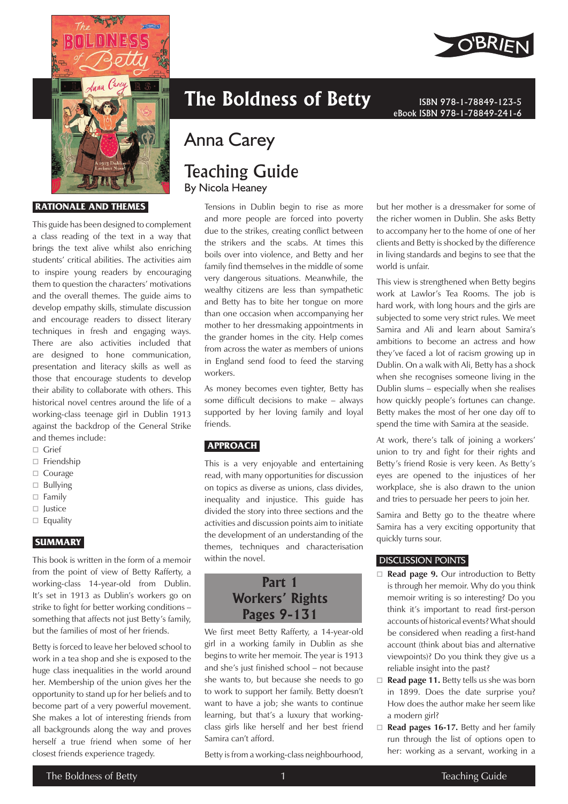

#### **RATIONALE AND THEMES**

This guide has been designed to complement a class reading of the text in a way that brings the text alive whilst also enriching students' critical abilities. The activities aim to inspire young readers by encouraging them to question the characters' motivations and the overall themes. The guide aims to develop empathy skills, stimulate discussion and encourage readers to dissect literary techniques in fresh and engaging ways. There are also activities included that are designed to hone communication, presentation and literacy skills as well as those that encourage students to develop their ability to collaborate with others. This historical novel centres around the life of a working-class teenage girl in Dublin 1913 against the backdrop of the General Strike and themes include:

- □ Grief
- □ Friendship
- □ Courage
- $\Box$  Bullying
- Family
- $\Box$  lustice
- $\Box$  Equality

## **SUMMARY**

This book is written in the form of a memoir from the point of view of Betty Rafferty, a working-class 14-year-old from Dublin. It's set in 1913 as Dublin's workers go on strike to fight for better working conditions – something that affects not just Betty's family, but the families of most of her friends.

Betty is forced to leave her beloved school to work in a tea shop and she is exposed to the huge class inequalities in the world around her. Membership of the union gives her the opportunity to stand up for her beliefs and to become part of a very powerful movement. She makes a lot of interesting friends from all backgrounds along the way and proves herself a true friend when some of her closest friends experience tragedy.

# **The Boldness of Betty ISBN 978-1-78849-123-5**

# Anna Carey

# Teaching Guide By Nicola Heaney

Tensions in Dublin begin to rise as more and more people are forced into poverty due to the strikes, creating conflict between the strikers and the scabs. At times this boils over into violence, and Betty and her family find themselves in the middle of some very dangerous situations. Meanwhile, the wealthy citizens are less than sympathetic and Betty has to bite her tongue on more than one occasion when accompanying her mother to her dressmaking appointments in the grander homes in the city. Help comes from across the water as members of unions in England send food to feed the starving workers.

As money becomes even tighter, Betty has some difficult decisions to make – always supported by her loving family and loyal friends.

# **APPROACH**

This is a very enjoyable and entertaining read, with many opportunities for discussion on topics as diverse as unions, class divides, inequality and injustice. This guide has divided the story into three sections and the activities and discussion points aim to initiate the development of an understanding of the themes, techniques and characterisation within the novel.

# **Part 1 Workers' Rights Pages 9-131**

We first meet Betty Rafferty, a 14-year-old girl in a working family in Dublin as she begins to write her memoir. The year is 1913 and she's just finished school – not because she wants to, but because she needs to go to work to support her family. Betty doesn't want to have a job; she wants to continue learning, but that's a luxury that workingclass girls like herself and her best friend Samira can't afford.

Betty is from a working-class neighbourhood,



but her mother is a dressmaker for some of the richer women in Dublin. She asks Betty to accompany her to the home of one of her clients and Betty is shocked by the difference in living standards and begins to see that the world is unfair.

eBook ISBN 978-1-78849-241-6

This view is strengthened when Betty begins work at Lawlor's Tea Rooms. The job is hard work, with long hours and the girls are subjected to some very strict rules. We meet Samira and Ali and learn about Samira's ambitions to become an actress and how they've faced a lot of racism growing up in Dublin. On a walk with Ali, Betty has a shock when she recognises someone living in the Dublin slums – especially when she realises how quickly people's fortunes can change. Betty makes the most of her one day off to spend the time with Samira at the seaside.

At work, there's talk of joining a workers' union to try and fight for their rights and Betty's friend Rosie is very keen. As Betty's eyes are opened to the injustices of her workplace, she is also drawn to the union and tries to persuade her peers to join her.

Samira and Betty go to the theatre where Samira has a very exciting opportunity that quickly turns sour.

#### DISCUSSION POINTS

- □ **Read page 9.** Our introduction to Betty is through her memoir. Why do you think memoir writing is so interesting? Do you think it's important to read first-person accounts of historical events? What should be considered when reading a first-hand account (think about bias and alternative viewpoints)? Do you think they give us a reliable insight into the past?
- □ **Read page 11.** Betty tells us she was born in 1899. Does the date surprise you? How does the author make her seem like a modern girl?
- □ **Read pages 16-17.** Betty and her family run through the list of options open to her: working as a servant, working in a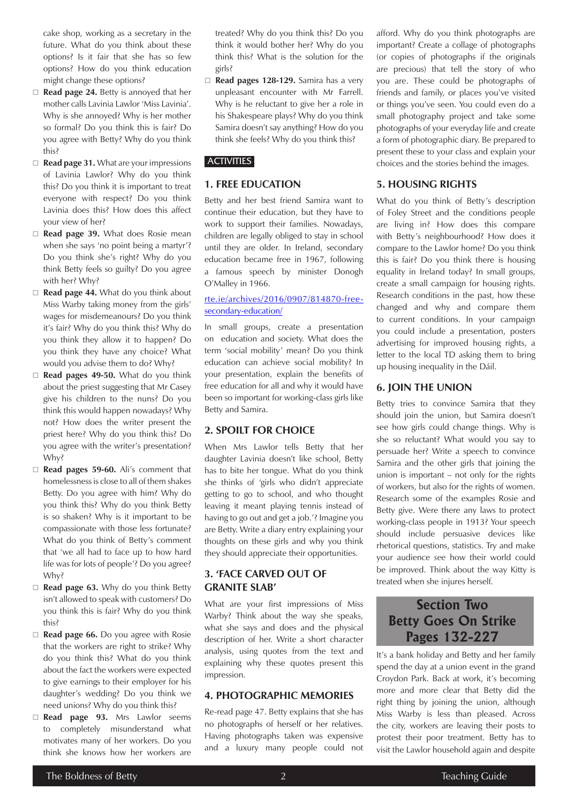cake shop, working as a secretary in the future. What do you think about these options? Is it fair that she has so few options? How do you think education might change these options?

- □ **Read page 24.** Betty is annoyed that her mother calls Lavinia Lawlor 'Miss Lavinia'. Why is she annoyed? Why is her mother so formal? Do you think this is fair? Do you agree with Betty? Why do you think this?
- **Read page 31.** What are your impressions of Lavinia Lawlor? Why do you think this? Do you think it is important to treat everyone with respect? Do you think Lavinia does this? How does this affect your view of her?
- □ Read page 39. What does Rosie mean when she says 'no point being a martyr'? Do you think she's right? Why do you think Betty feels so guilty? Do you agree with her? Why?
- □ **Read page 44.** What do you think about Miss Warby taking money from the girls' wages for misdemeanours? Do you think it's fair? Why do you think this? Why do you think they allow it to happen? Do you think they have any choice? What would you advise them to do? Why?
- **Read pages 49-50.** What do you think about the priest suggesting that Mr Casey give his children to the nuns? Do you think this would happen nowadays? Why not? How does the writer present the priest here? Why do you think this? Do you agree with the writer's presentation? Why?
- □ **Read pages 59-60.** Ali's comment that homelessness is close to all of them shakes Betty. Do you agree with him? Why do you think this? Why do you think Betty is so shaken? Why is it important to be compassionate with those less fortunate? What do you think of Betty's comment that 'we all had to face up to how hard life was for lots of people'? Do you agree? Why?
- **Read page 63.** Why do you think Betty isn't allowed to speak with customers? Do you think this is fair? Why do you think this?
- **Read page 66.** Do you agree with Rosie that the workers are right to strike? Why do you think this? What do you think about the fact the workers were expected to give earnings to their employer for his daughter's wedding? Do you think we need unions? Why do you think this?
- **Read page 93.** Mrs Lawlor seems to completely misunderstand what motivates many of her workers. Do you think she knows how her workers are

treated? Why do you think this? Do you think it would bother her? Why do you think this? What is the solution for the girls?

 **Read pages 128-129.** Samira has a very unpleasant encounter with Mr Farrell. Why is he reluctant to give her a role in his Shakespeare plays? Why do you think Samira doesn't say anything? How do you think she feels? Why do you think this?

## **ACTIVITIES**

# **1. FREE EDUCATION**

Betty and her best friend Samira want to continue their education, but they have to work to support their families. Nowadays, children are legally obliged to stay in school until they are older. In Ireland, secondary education became free in 1967, following a famous speech by minister Donogh O'Malley in 1966.

#### rte.ie/archives/2016/0907/814870-freesecondary-education/

In small groups, create a presentation on education and society. What does the term 'social mobility' mean? Do you think education can achieve social mobility? In your presentation, explain the benefits of free education for all and why it would have been so important for working-class girls like Betty and Samira.

# **2. SPOILT FOR CHOICE**

When Mrs Lawlor tells Betty that her daughter Lavinia doesn't like school, Betty has to bite her tongue. What do you think she thinks of 'girls who didn't appreciate getting to go to school, and who thought leaving it meant playing tennis instead of having to go out and get a job.'? Imagine you are Betty. Write a diary entry explaining your thoughts on these girls and why you think they should appreciate their opportunities.

# **3. 'FACE CARVED OUT OF GRANITE SLAB'**

What are your first impressions of Miss Warby? Think about the way she speaks, what she says and does and the physical description of her. Write a short character analysis, using quotes from the text and explaining why these quotes present this impression.

## **4. PHOTOGRAPHIC MEMORIES**

Re-read page 47. Betty explains that she has no photographs of herself or her relatives. Having photographs taken was expensive and a luxury many people could not

afford. Why do you think photographs are important? Create a collage of photographs (or copies of photographs if the originals are precious) that tell the story of who you are. These could be photographs of friends and family, or places you've visited or things you've seen. You could even do a small photography project and take some photographs of your everyday life and create a form of photographic diary. Be prepared to present these to your class and explain your choices and the stories behind the images.

# **5. HOUSING RIGHTS**

What do you think of Betty's description of Foley Street and the conditions people are living in? How does this compare with Betty's neighbourhood? How does it compare to the Lawlor home? Do you think this is fair? Do you think there is housing equality in Ireland today? In small groups, create a small campaign for housing rights. Research conditions in the past, how these changed and why and compare them to current conditions. In your campaign you could include a presentation, posters advertising for improved housing rights, a letter to the local TD asking them to bring up housing inequality in the Dáil.

# **6. JOIN THE UNION**

Betty tries to convince Samira that they should join the union, but Samira doesn't see how girls could change things. Why is she so reluctant? What would you say to persuade her? Write a speech to convince Samira and the other girls that joining the union is important – not only for the rights of workers, but also for the rights of women. Research some of the examples Rosie and Betty give. Were there any laws to protect working-class people in 1913? Your speech should include persuasive devices like rhetorical questions, statistics. Try and make your audience *see* how their world could be improved. Think about the way Kitty is treated when she injures herself.

# **Section Two Betty Goes On Strike Pages 132-227**

It's a bank holiday and Betty and her family spend the day at a union event in the grand Croydon Park. Back at work, it's becoming more and more clear that Betty did the right thing by joining the union, although Miss Warby is less than pleased. Across the city, workers are leaving their posts to protest their poor treatment. Betty has to visit the Lawlor household again and despite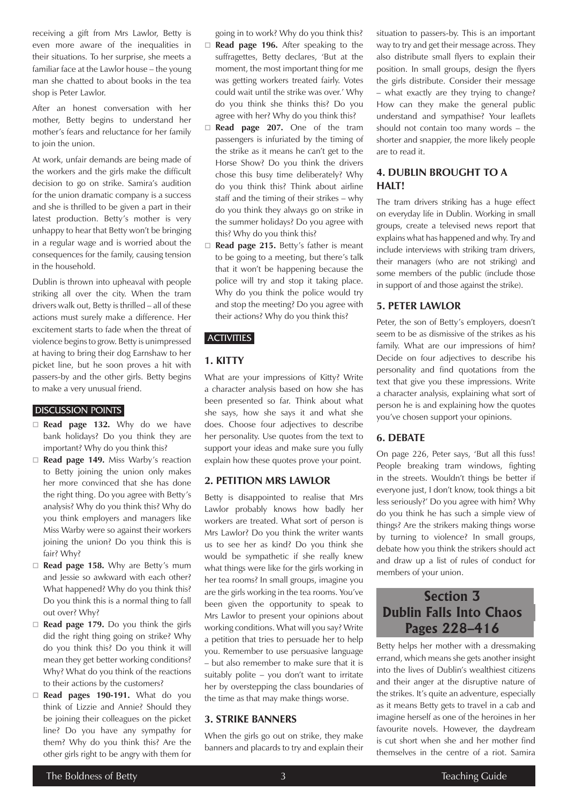receiving a gift from Mrs Lawlor, Betty is even more aware of the inequalities in their situations. To her surprise, she meets a familiar face at the Lawlor house – the young man she chatted to about books in the tea shop is Peter Lawlor.

After an honest conversation with her mother, Betty begins to understand her mother's fears and reluctance for her family to join the union.

At work, unfair demands are being made of the workers and the girls make the difficult decision to go on strike. Samira's audition for the union dramatic company is a success and she is thrilled to be given a part in their latest production. Betty's mother is very unhappy to hear that Betty won't be bringing in a regular wage and is worried about the consequences for the family, causing tension in the household.

Dublin is thrown into upheaval with people striking all over the city. When the tram drivers walk out, Betty is thrilled – all of these actions must surely make a difference. Her excitement starts to fade when the threat of violence begins to grow. Betty is unimpressed at having to bring their dog Earnshaw to her picket line, but he soon proves a hit with passers-by and the other girls. Betty begins to make a very unusual friend.

#### DISCUSSION POINTS

- **Read page 132.** Why do we have bank holidays? Do you think they are important? Why do you think this?
- □ Read page 149. Miss Warby's reaction to Betty joining the union only makes her more convinced that she has done the right thing. Do you agree with Betty's analysis? Why do you think this? Why do you think employers and managers like Miss Warby were so against their workers joining the union? Do you think this is fair? Why?
- □ **Read page 158.** Why are Betty's mum and Jessie so awkward with each other? What happened? Why do you think this? Do you think this is a normal thing to fall out over? Why?
- □ **Read page 179.** Do you think the girls did the right thing going on strike? Why do you think this? Do you think it will mean they get better working conditions? Why? What do you think of the reactions to their actions by the customers?
- **Read pages 190-191.** What do you think of Lizzie and Annie? Should they be joining their colleagues on the picket line? Do you have any sympathy for them? Why do you think this? Are the other girls right to be angry with them for
- going in to work? Why do you think this? □ **Read page 196.** After speaking to the suffragettes, Betty declares, 'But at the moment, the most important thing for me was getting workers treated fairly. Votes could wait until the strike was over.' Why do you think she thinks this? Do you agree with her? Why do you think this?
- **Read page 207.** One of the tram passengers is infuriated by the timing of the strike as it means he can't get to the Horse Show? Do you think the drivers chose this busy time deliberately? Why do you think this? Think about airline staff and the timing of their strikes – why do you think they always go on strike in the summer holidays? Do you agree with this? Why do you think this?
- □ **Read page 215.** Betty's father is meant to be going to a meeting, but there's talk that it won't be happening because the police will try and stop it taking place. Why do you think the police would try and stop the meeting? Do you agree with their actions? Why do you think this?

# **ACTIVITIES**

# **1. KITTY**

What are your impressions of Kitty? Write a character analysis based on how she has been presented so far. Think about what she says, how she says it and what she does. Choose four adjectives to describe her personality. Use quotes from the text to support your ideas and make sure you fully explain how these quotes prove your point.

## **2. PETITION MRS LAWLOR**

Betty is disappointed to realise that Mrs Lawlor probably knows how badly her workers are treated. What sort of person is Mrs Lawlor? Do you think the writer wants us to see her as kind? Do you think she would be sympathetic if she really knew what things were like for the girls working in her tea rooms? In small groups, imagine you are the girls working in the tea rooms. You've been given the opportunity to speak to Mrs Lawlor to present your opinions about working conditions. What will you say? Write a petition that tries to persuade her to help you. Remember to use persuasive language – but also remember to make sure that it is suitably polite – you don't want to irritate her by overstepping the class boundaries of the time as that may make things worse.

# **3. STRIKE BANNERS**

When the girls go out on strike, they make banners and placards to try and explain their

situation to passers-by. This is an important way to try and get their message across. They also distribute small flyers to explain their position. In small groups, design the flyers the girls distribute. Consider their message – what exactly are they trying to change? How can they make the general public understand and sympathise? Your leaflets should not contain too many words – the shorter and snappier, the more likely people are to read it.

# **4. DUBLIN BROUGHT TO A**  HAIT!

The tram drivers striking has a huge effect on everyday life in Dublin. Working in small groups, create a televised news report that explains what has happened and why. Try and include interviews with striking tram drivers, their managers (who are not striking) and some members of the public (include those in support of and those against the strike).

## **5. PETER LAWLOR**

Peter, the son of Betty's employers, doesn't seem to be as dismissive of the strikes as his family. What are our impressions of him? Decide on four adjectives to describe his personality and find quotations from the text that give you these impressions. Write a character analysis, explaining what sort of person he is and explaining how the quotes you've chosen support your opinions.

## **6. DEBATE**

On page 226, Peter says, 'But all this fuss! People breaking tram windows, fighting in the streets. Wouldn't things be better if everyone just, I don't know, took things a bit less seriously?' Do you agree with him? Why do you think he has such a simple view of things? Are the strikers making things worse by turning to violence? In small groups, debate how you think the strikers should act and draw up a list of rules of conduct for members of your union.

# **Section 3 Dublin Falls Into Chaos Pages 228–416**

Betty helps her mother with a dressmaking errand, which means she gets another insight into the lives of Dublin's wealthiest citizens and their anger at the disruptive nature of the strikes. It's quite an adventure, especially as it means Betty gets to travel in a cab and imagine herself as one of the heroines in her favourite novels. However, the daydream is cut short when she and her mother find themselves in the centre of a riot. Samira